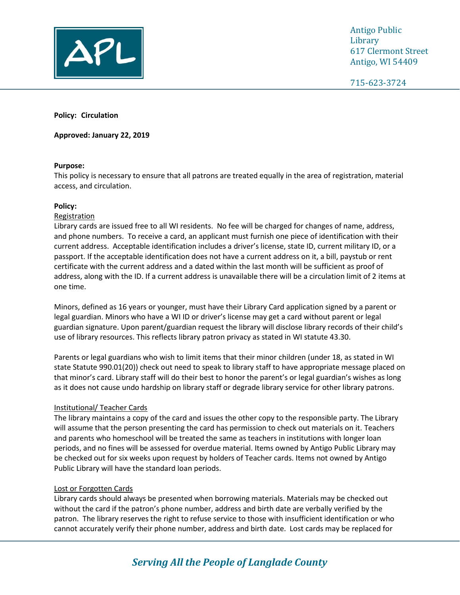

Antigo Public Library 617 Clermont Street Antigo, WI 54409

715-623-3724

www.antigopl.org

**Policy: Circulation**

**Approved: January 22, 2019**

## **Purpose:**

This policy is necessary to ensure that all patrons are treated equally in the area of registration, material access, and circulation.

## **Policy:**

## Registration

Library cards are issued free to all WI residents. No fee will be charged for changes of name, address, and phone numbers. To receive a card, an applicant must furnish one piece of identification with their current address. Acceptable identification includes a driver's license, state ID, current military ID, or a passport. If the acceptable identification does not have a current address on it, a bill, paystub or rent certificate with the current address and a dated within the last month will be sufficient as proof of address, along with the ID. If a current address is unavailable there will be a circulation limit of 2 items at one time.

Minors, defined as 16 years or younger, must have their Library Card application signed by a parent or legal guardian. Minors who have a WI ID or driver's license may get a card without parent or legal guardian signature. Upon parent/guardian request the library will disclose library records of their child's use of library resources. This reflects library patron privacy as stated in WI statute 43.30.

Parents or legal guardians who wish to limit items that their minor children (under 18, as stated in WI state Statute 990.01(20)) check out need to speak to library staff to have appropriate message placed on that minor's card. Library staff will do their best to honor the parent's or legal guardian's wishes as long as it does not cause undo hardship on library staff or degrade library service for other library patrons.

## Institutional/ Teacher Cards

The library maintains a copy of the card and issues the other copy to the responsible party. The Library will assume that the person presenting the card has permission to check out materials on it. Teachers and parents who homeschool will be treated the same as teachers in institutions with longer loan periods, and no fines will be assessed for overdue material. Items owned by Antigo Public Library may be checked out for six weeks upon request by holders of Teacher cards. Items not owned by Antigo Public Library will have the standard loan periods.

## Lost or Forgotten Cards

Library cards should always be presented when borrowing materials. Materials may be checked out without the card if the patron's phone number, address and birth date are verbally verified by the patron. The library reserves the right to refuse service to those with insufficient identification or who cannot accurately verify their phone number, address and birth date. Lost cards may be replaced for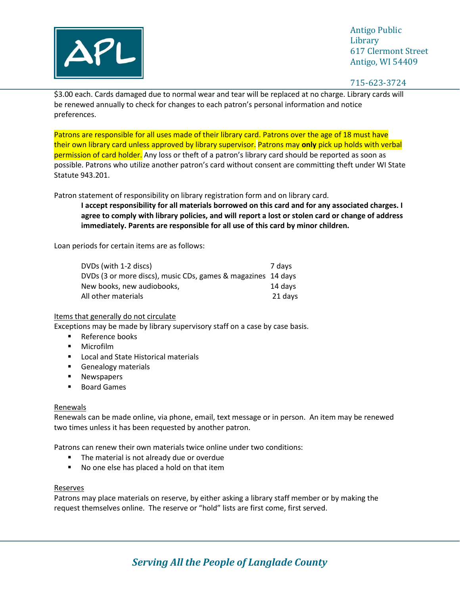

Antigo Public **Library** 617 Clermont Street Antigo, WI 54409

715-623-3724

\$3.00 each. Cards damaged due to normal wear and tear will be replaced at no charge. Library cards will be renewed annually to check for changes to each patron's personal information and notice preferences.

Patrons are responsible for all uses made of their library card. Patrons over the age of 18 must have their own library card unless approved by library supervisor. Patrons may **only** pick up holds with verbal permission of card holder. Any loss or theft of a patron's library card should be reported as soon as possible. Patrons who utilize another patron's card without consent are committing theft under WI State Statute 943.201.

Patron statement of responsibility on library registration form and on library card.

**I accept responsibility for all materials borrowed on this card and for any associated charges. I agree to comply with library policies, and will report a lost or stolen card or change of address immediately. Parents are responsible for all use of this card by minor children.**

Loan periods for certain items are as follows:

| DVDs (with 1-2 discs)                                        | 7 davs  |
|--------------------------------------------------------------|---------|
| DVDs (3 or more discs), music CDs, games & magazines 14 days |         |
| New books, new audiobooks,                                   | 14 davs |
| All other materials                                          | 21 days |

## Items that generally do not circulate

Exceptions may be made by library supervisory staff on a case by case basis.

- Reference books
- Microfilm
- Local and State Historical materials
- Genealogy materials
- Newspapers
- Board Games

#### Renewals

Renewals can be made online, via phone, email, text message or in person. An item may be renewed two times unless it has been requested by another patron.

Patrons can renew their own materials twice online under two conditions:

- The material is not already due or overdue
- No one else has placed a hold on that item

#### Reserves

Patrons may place materials on reserve, by either asking a library staff member or by making the request themselves online. The reserve or "hold" lists are first come, first served.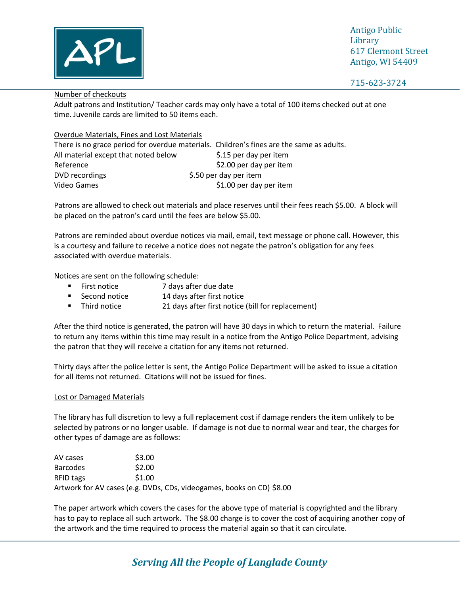

Antigo Public **Library** 617 Clermont Street Antigo, WI 54409

## Number of checkouts

Adult patrons and Institution/ Teacher cards may only have a total of 100 items checked out at one time. Juvenile cards are limited to 50 items each.

## Overdue Materials, Fines and Lost Materials

There is no grace period for overdue materials. Children's fines are the same as adults. All material except that noted below \$.15 per day per item Reference  $\frac{1}{2}$  Reference  $\frac{1}{2}$  Reference DVD recordings extending the state of the S.50 per day per item Video Games  $\frac{1}{2}$  video Games

Patrons are allowed to check out materials and place reserves until their fees reach \$5.00. A block will be placed on the patron's card until the fees are below \$5.00.

Patrons are reminded about overdue notices via mail, email, text message or phone call. However, this is a courtesy and failure to receive a notice does not negate the patron's obligation for any fees associated with overdue materials.

Notices are sent on the following schedule:

- First notice 7 days after due date
- Second notice 14 days after first notice
- Third notice 21 days after first notice (bill for replacement)

After the third notice is generated, the patron will have 30 days in which to return the material. Failure to return any items within this time may result in a notice from the Antigo Police Department, advising the patron that they will receive a citation for any items not returned.

Thirty days after the police letter is sent, the Antigo Police Department will be asked to issue a citation for all items not returned. Citations will not be issued for fines.

## Lost or Damaged Materials

The library has full discretion to levy a full replacement cost if damage renders the item unlikely to be selected by patrons or no longer usable. If damage is not due to normal wear and tear, the charges for other types of damage are as follows:

| AV cases        | \$3.00 |                                                                       |
|-----------------|--------|-----------------------------------------------------------------------|
| <b>Barcodes</b> | \$2.00 |                                                                       |
| RFID tags       | \$1.00 |                                                                       |
|                 |        | Artwork for AV cases (e.g. DVDs, CDs, videogames, books on CD) \$8.00 |

The paper artwork which covers the cases for the above type of material is copyrighted and the library has to pay to replace all such artwork. The \$8.00 charge is to cover the cost of acquiring another copy of the artwork and the time required to process the material again so that it can circulate.

# *Serving All the People of Langlade County*